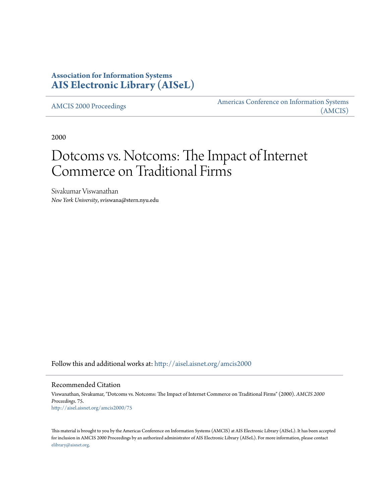## **Association for Information Systems [AIS Electronic Library \(AISeL\)](http://aisel.aisnet.org?utm_source=aisel.aisnet.org%2Famcis2000%2F75&utm_medium=PDF&utm_campaign=PDFCoverPages)**

[AMCIS 2000 Proceedings](http://aisel.aisnet.org/amcis2000?utm_source=aisel.aisnet.org%2Famcis2000%2F75&utm_medium=PDF&utm_campaign=PDFCoverPages)

[Americas Conference on Information Systems](http://aisel.aisnet.org/amcis?utm_source=aisel.aisnet.org%2Famcis2000%2F75&utm_medium=PDF&utm_campaign=PDFCoverPages) [\(AMCIS\)](http://aisel.aisnet.org/amcis?utm_source=aisel.aisnet.org%2Famcis2000%2F75&utm_medium=PDF&utm_campaign=PDFCoverPages)

2000

# Dotcoms vs. Notcoms: The Impact of Internet Commerce on Traditional Firms

Sivakumar Viswanathan *New York University*, sviswana@stern.nyu.edu

Follow this and additional works at: [http://aisel.aisnet.org/amcis2000](http://aisel.aisnet.org/amcis2000?utm_source=aisel.aisnet.org%2Famcis2000%2F75&utm_medium=PDF&utm_campaign=PDFCoverPages)

#### Recommended Citation

Viswanathan, Sivakumar, "Dotcoms vs. Notcoms: The Impact of Internet Commerce on Traditional Firms" (2000). *AMCIS 2000 Proceedings*. 75. [http://aisel.aisnet.org/amcis2000/75](http://aisel.aisnet.org/amcis2000/75?utm_source=aisel.aisnet.org%2Famcis2000%2F75&utm_medium=PDF&utm_campaign=PDFCoverPages)

This material is brought to you by the Americas Conference on Information Systems (AMCIS) at AIS Electronic Library (AISeL). It has been accepted for inclusion in AMCIS 2000 Proceedings by an authorized administrator of AIS Electronic Library (AISeL). For more information, please contact [elibrary@aisnet.org.](mailto:elibrary@aisnet.org%3E)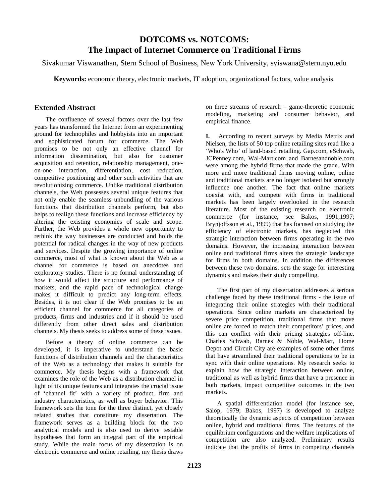## **DOTCOMS vs. NOTCOMS: The Impact of Internet Commerce on Traditional Firms**

Sivakumar Viswanathan, Stern School of Business, New York University, sviswana@stern.nyu.edu

**Keywords:** economic theory, electronic markets, IT adoption, organizational factors, value analysis.

### **Extended Abstract**

The confluence of several factors over the last few years has transformed the Internet from an experimenting ground for technophiles and hobbyists into an important and sophisticated forum for commerce. The Web promises to be not only an effective channel for information dissemination, but also for customer acquisition and retention, relationship management, oneon-one interaction, differentiation, cost reduction, competitive positioning and other such activities that are revolutionizing commerce. Unlike traditional distribution channels, the Web possesses several unique features that not only enable the seamless unbundling of the various functions that distribution channels perform, but also helps to realign these functions and increase efficiency by altering the existing economies of scale and scope. Further, the Web provides a whole new opportunity to rethink the way businesses are conducted and holds the potential for radical changes in the way of new products and services. Despite the growing importance of online commerce, most of what is known about the Web as a channel for commerce is based on anecdotes and exploratory studies. There is no formal understanding of how it would affect the structure and performance of markets, and the rapid pace of technological change makes it difficult to predict any long-term effects. Besides, it is not clear if the Web promises to be an efficient channel for commerce for all categories of products, firms and industries and if it should be used differently from other direct sales and distribution channels. My thesis seeks to address some of these issues.

Before a theory of online commerce can be developed, it is imperative to understand the basic functions of distribution channels and the characteristics of the Web as a technology that makes it suitable for commerce. My thesis begins with a framework that examines the role of the Web as a distribution channel in light of its unique features and integrates the crucial issue of 'channel fit' with a variety of product, firm and industry characteristics, as well as buyer behavior. This framework sets the tone for the three distinct, yet closely related studies that constitute my dissertation. The framework serves as a building block for the two analytical models and is also used to derive testable hypotheses that form an integral part of the empirical study. While the main focus of my dissertation is on electronic commerce and online retailing, my thesis draws

on three streams of research – game-theoretic economic modeling, marketing and consumer behavior, and empirical finance.

**I.** According to recent surveys by Media Metrix and Nielsen, the lists of 50 top online retailing sites read like a 'Who's Who' of land-based retailing. Gap.com, eSchwab, JCPenney.com, Wal-Mart.com and Barnesandnoble.com were among the hybrid firms that made the grade. With more and more traditional firms moving online, online and traditional markets are no longer isolated but strongly influence one another. The fact that online markets coexist with, and compete with firms in traditional markets has been largely overlooked in the research literature. Most of the existing research on electronic commerce (for instance, see Bakos, 1991,1997; Brynjolfsson et al., 1999) that has focused on studying the efficiency of electronic markets, has neglected this strategic interaction between firms operating in the two domains. However, the increasing interaction between online and traditional firms alters the strategic landscape for firms in both domains. In addition the differences between these two domains, sets the stage for interesting dynamics and makes their study compelling.

The first part of my dissertation addresses a serious challenge faced by these traditional firms - the issue of integrating their online strategies with their traditional operations. Since online markets are characterized by severe price competition, traditional firms that move online are forced to match their competitors' prices, and this can conflict with their pricing strategies off-line. Charles Schwab, Barnes & Noble, Wal-Mart, Home Depot and Circuit City are examples of some other firms that have streamlined their traditional operations to be in sync with their online operations. My research seeks to explain how the strategic interaction between online, traditional as well as hybrid firms that have a presence in both markets, impact competitive outcomes in the two markets.

A spatial differentiation model (for instance see, Salop, 1979; Bakos, 1997) is developed to analyze theoretically the dynamic aspects of competition between online, hybrid and traditional firms. The features of the equilibrium configurations and the welfare implications of competition are also analyzed. Preliminary results indicate that the profits of firms in competing channels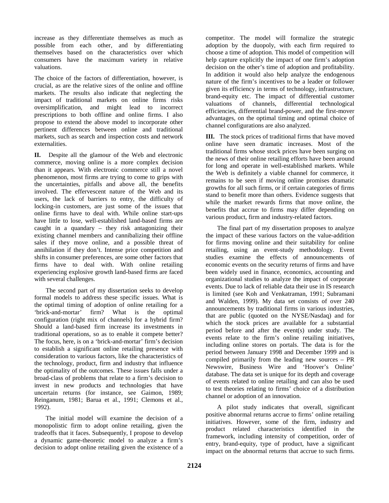increase as they differentiate themselves as much as possible from each other, and by differentiating themselves based on the characteristics over which consumers have the maximum variety in relative valuations.

The choice of the factors of differentiation, however, is crucial, as are the relative sizes of the online and offline markets. The results also indicate that neglecting the impact of traditional markets on online firms risks oversimplification, and might lead to incorrect prescriptions to both offline and online firms. I also propose to extend the above model to incorporate other pertinent differences between online and traditional markets, such as search and inspection costs and network externalities.

**II.** Despite all the glamour of the Web and electronic commerce, moving online is a more complex decision than it appears. With electronic commerce still a novel phenomenon, most firms are trying to come to grips with the uncertainties, pitfalls and above all, the benefits involved. The effervescent nature of the Web and its users, the lack of barriers to entry, the difficulty of locking-in customers, are just some of the issues that online firms have to deal with. While online start-ups have little to lose, well-established land-based firms are caught in a quandary – they risk antagonizing their existing channel members and cannibalizing their offline sales if they move online, and a possible threat of annihilation if they don't. Intense price competition and shifts in consumer preferences, are some other factors that firms have to deal with. With online retailing experiencing explosive growth land-based firms are faced with several challenges.

The second part of my dissertation seeks to develop formal models to address these specific issues. What is the optimal timing of adoption of online retailing for a 'brick-and-mortar' firm? What is the optimal configuration (right mix of channels) for a hybrid firm? Should a land-based firm increase its investments in traditional operations, so as to enable it compete better? The focus, here, is on a 'brick-and-mortar' firm's decision to establish a significant online retailing presence with consideration to various factors, like the characteristics of the technology, product, firm and industry that influence the optimality of the outcomes. These issues falls under a broad-class of problems that relate to a firm's decision to invest in new products and technologies that have uncertain returns (for instance, see Gaimon, 1989; Reinganum, 1981; Barua et al., 1991; Clemons et al., 1992).

The initial model will examine the decision of a monopolistic firm to adopt online retailing, given the tradeoffs that it faces. Subsequently, I propose to develop a dynamic game-theoretic model to analyze a firm's decision to adopt online retailing given the existence of a competitor. The model will formalize the strategic adoption by the duopoly, with each firm required to choose a time of adoption. This model of competition will help capture explicitly the impact of one firm's adoption decision on the other's time of adoption and profitability. In addition it would also help analyze the endogenous nature of the firm's incentives to be a leader or follower given its efficiency in terms of technology, infrastructure, brand-equity etc. The impact of differential customer valuations of channels, differential technological efficiencies, differential brand-power, and the first-mover advantages, on the optimal timing and optimal choice of channel configurations are also analyzed.

**III.** The stock prices of traditional firms that have moved online have seen dramatic increases. Most of the traditional firms whose stock prices have been surging on the news of their online retailing efforts have been around for long and operate in well-established markets. While the Web is definitely a viable channel for commerce, it remains to be seen if moving online promises dramatic growths for all such firms, or if certain categories of firms stand to benefit more than others. Evidence suggests that while the market rewards firms that move online, the benefits that accrue to firms may differ depending on various product, firm and industry-related factors.

The final part of my dissertation proposes to analyze the impact of these various factors on the value-addition for firms moving online and their suitability for online retailing, using an event-study methodology. Event studies examine the effects of announcements of economic events on the security returns of firms and have been widely used in finance, economics, accounting and organizational studies to analyze the impact of corporate events. Due to lack of reliable data their use in IS research is limited (see Koh and Venkatraman, 1991; Subramani and Walden, 1999). My data set consists of over 240 announcements by traditional firms in various industries, that are public (quoted on the NYSE/Nasdaq) and for which the stock prices are available for a substantial period before and after the event(s) under study. The events relate to the firm's online retailing initiatives, including online stores on portals. The data is for the period between January 1998 and December 1999 and is compiled primarily from the leading new sources – PR Newswire, Business Wire and 'Hoover's Online' database. The data set is unique for its depth and coverage of events related to online retailing and can also be used to test theories relating to firms' choice of a distribution channel or adoption of an innovation.

A pilot study indicates that overall, significant positive abnormal returns accrue to firms' online retailing initiatives. However, some of the firm, industry and product related characteristics identified in the framework, including intensity of competition, order of entry, brand-equity, type of product, have a significant impact on the abnormal returns that accrue to such firms.